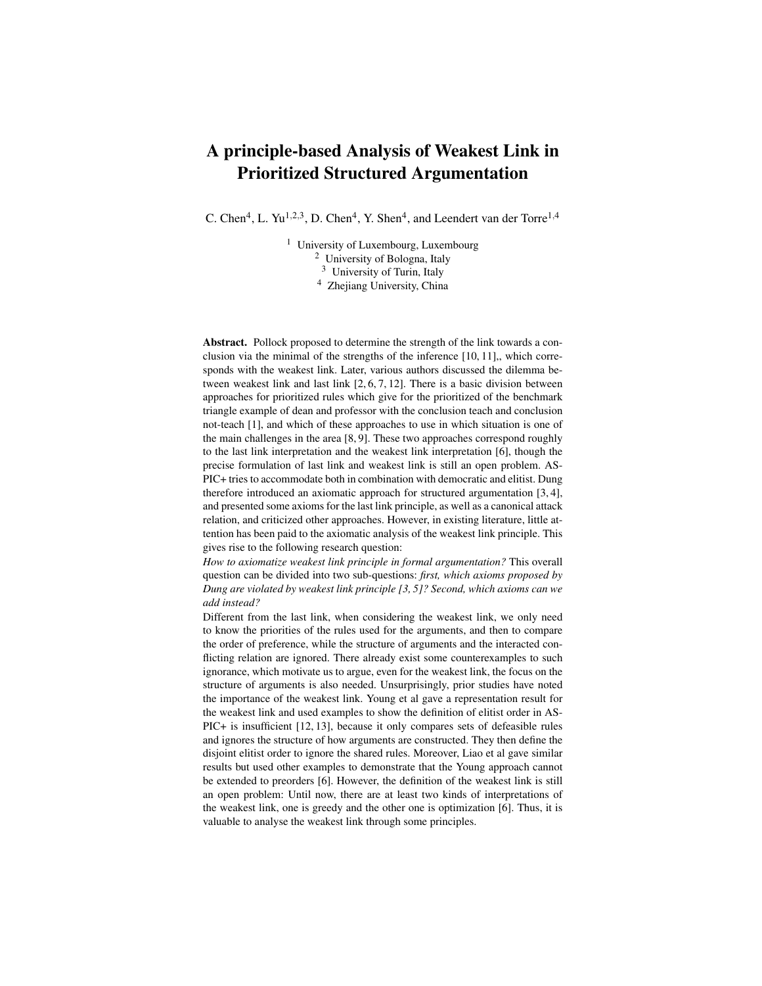## A principle-based Analysis of Weakest Link in Prioritized Structured Argumentation

C. Chen<sup>4</sup>, L. Yu<sup>1,2,3</sup>, D. Chen<sup>4</sup>, Y. Shen<sup>4</sup>, and Leendert van der Torre<sup>1,4</sup>

<sup>1</sup> University of Luxembourg, Luxembourg <sup>2</sup> University of Bologna, Italy <sup>3</sup> University of Turin, Italy <sup>4</sup> Zhejiang University, China

Abstract. Pollock proposed to determine the strength of the link towards a conclusion via the minimal of the strengths of the inference [10, 11],, which corresponds with the weakest link. Later, various authors discussed the dilemma between weakest link and last link [2, 6, 7, 12]. There is a basic division between approaches for prioritized rules which give for the prioritized of the benchmark triangle example of dean and professor with the conclusion teach and conclusion not-teach [1], and which of these approaches to use in which situation is one of the main challenges in the area [8, 9]. These two approaches correspond roughly to the last link interpretation and the weakest link interpretation [6], though the precise formulation of last link and weakest link is still an open problem. AS-PIC+ tries to accommodate both in combination with democratic and elitist. Dung therefore introduced an axiomatic approach for structured argumentation [3, 4], and presented some axioms for the last link principle, as well as a canonical attack relation, and criticized other approaches. However, in existing literature, little attention has been paid to the axiomatic analysis of the weakest link principle. This gives rise to the following research question:

*How to axiomatize weakest link principle in formal argumentation?* This overall question can be divided into two sub-questions: *first, which axioms proposed by Dung are violated by weakest link principle [3, 5]? Second, which axioms can we add instead?*

Different from the last link, when considering the weakest link, we only need to know the priorities of the rules used for the arguments, and then to compare the order of preference, while the structure of arguments and the interacted conflicting relation are ignored. There already exist some counterexamples to such ignorance, which motivate us to argue, even for the weakest link, the focus on the structure of arguments is also needed. Unsurprisingly, prior studies have noted the importance of the weakest link. Young et al gave a representation result for the weakest link and used examples to show the definition of elitist order in AS-PIC+ is insufficient [12, 13], because it only compares sets of defeasible rules and ignores the structure of how arguments are constructed. They then define the disjoint elitist order to ignore the shared rules. Moreover, Liao et al gave similar results but used other examples to demonstrate that the Young approach cannot be extended to preorders [6]. However, the definition of the weakest link is still an open problem: Until now, there are at least two kinds of interpretations of the weakest link, one is greedy and the other one is optimization [6]. Thus, it is valuable to analyse the weakest link through some principles.